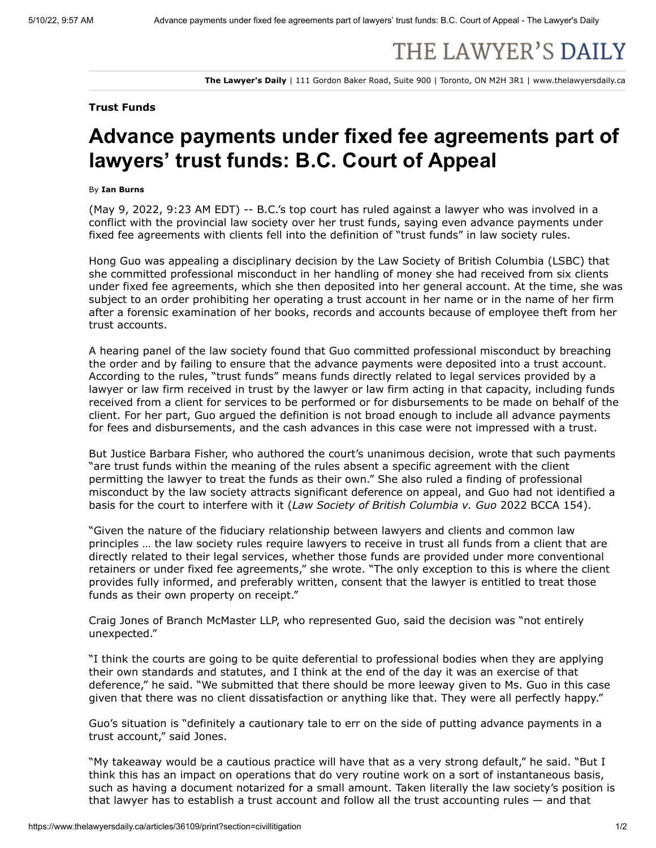## THE LAWYER'S DAILY

**The Lawyer's Daily** | 111 Gordon Baker Road, Suite 900 | Toronto, ON M2H 3R1 | www.thelawyersdaily.ca

## **Trust Funds**

## **Advance payments under fixed fee agreements part of lawyers' trust funds: B.C. Court of Appeal**

## By **Ian Burns**

(May 9, 2022, 9:23 AM EDT) -- B.C.'s top court has ruled against a lawyer who was involved in a conflict with the provincial law society over her trust funds, saying even advance payments under fixed fee agreements with clients fell into the definition of "trust funds" in law society rules.

Hong Guo was appealing a disciplinary decision by the Law Society of British Columbia (LSBC) that she committed professional misconduct in her handling of money she had received from six clients under fixed fee agreements, which she then deposited into her general account. At the time, she was subject to an order prohibiting her operating a trust account in her name or in the name of her firm after a forensic examination of her books, records and accounts because of employee theft from her trust accounts.

A hearing panel of the law society found that Guo committed professional misconduct by breaching the order and by failing to ensure that the advance payments were deposited into a trust account. According to the rules, "trust funds" means funds directly related to legal services provided by a lawyer or law firm received in trust by the lawyer or law firm acting in that capacity, including funds received from a client for services to be performed or for disbursements to be made on behalf of the client. For her part, Guo argued the definition is not broad enough to include all advance payments for fees and disbursements, and the cash advances in this case were not impressed with a trust.

But Justice Barbara Fisher, who authored the court's unanimous decision, wrote that such payments "are trust funds within the meaning of the rules absent a specific agreement with the client permitting the lawyer to treat the funds as their own." She also ruled a finding of professional misconduct by the law society attracts significant deference on appeal, and Guo had not identified a basis for the court to interfere with it (*Law Society of British Columbia v. Guo* 2022 BCCA 154).

"Given the nature of the fiduciary relationship between lawyers and clients and common law principles … the law society rules require lawyers to receive in trust all funds from a client that are directly related to their legal services, whether those funds are provided under more conventional retainers or under fixed fee agreements," she wrote. "The only exception to this is where the client provides fully informed, and preferably written, consent that the lawyer is entitled to treat those funds as their own property on receipt."

Craig Jones of Branch McMaster LLP, who represented Guo, said the decision was "not entirely unexpected."

"I think the courts are going to be quite deferential to professional bodies when they are applying their own standards and statutes, and I think at the end of the day it was an exercise of that deference," he said. "We submitted that there should be more leeway given to Ms. Guo in this case given that there was no client dissatisfaction or anything like that. They were all perfectly happy."

Guo's situation is "definitely a cautionary tale to err on the side of putting advance payments in a trust account," said Jones.

"My takeaway would be a cautious practice will have that as a very strong default," he said. "But I think this has an impact on operations that do very routine work on a sort of instantaneous basis, such as having a document notarized for a small amount. Taken literally the law society's position is that lawyer has to establish a trust account and follow all the trust accounting rules — and that